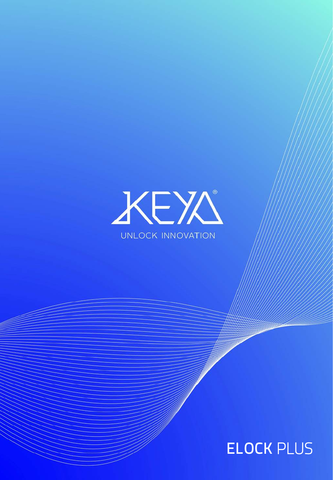

# ELOCK **PLUS**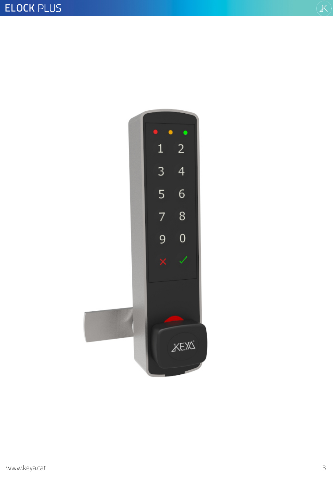

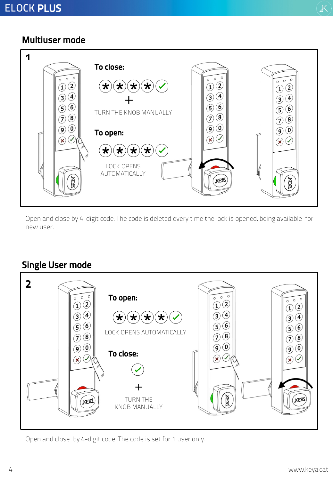### Multiuser mode



Open and close by 4-digit code. The code is deleted every time the lock is opened, being available for new user.

### Single User mode



Open and close by 4-digit code. The code is set for 1 user only.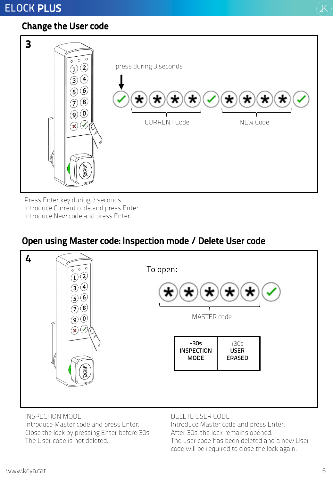### ELOCK PLUS

### Change the User code



Press Enter key during 3 seconds. Introduce Current code and press Enter. Introduce New code and press Enter.

### Open using Master code: Inspection mode / Delete User code



#### INSPECTION MODE

Introduce Master code and press Enter. Close the lock by pressing Enter before 30s. The User code is not deleted.

#### DELETE USER CODE

Introduce Master code and press Enter. After 30s. the lock remains opened. The user code has been deleted and a new User code will be required to close the lock again.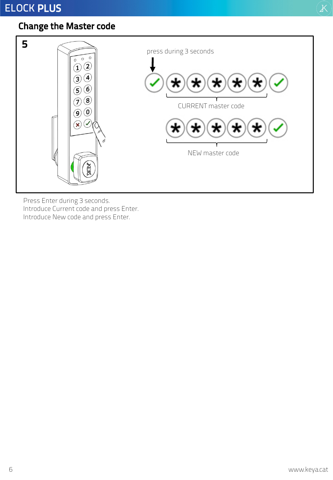# ELOCK PLUS

### Change the Master code



Press Enter during 3 seconds. Introduce Current code and press Enter. Introduce New code and press Enter.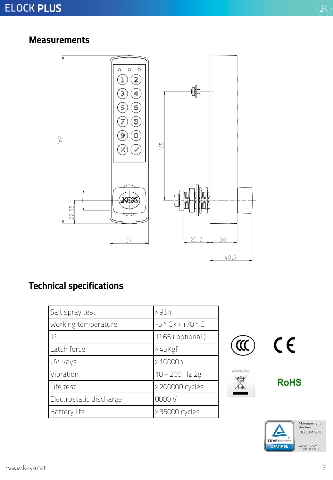### **Measurements**



## Technical specifications

| Salt spray test         | >96h               |
|-------------------------|--------------------|
| Working temperature     | $-5°$ C < > +70° C |
| IP                      | IP 65 (optional)   |
| Latch force             | >45Kgf             |
| UV Rays                 | >10000h            |
| Vibration               | 10 - 200 Hz 2g     |
| Life test               | > 200000 cycles    |
| Electrostatic discharge | 8000 V             |
| Battery life            | > 35000 cycles     |